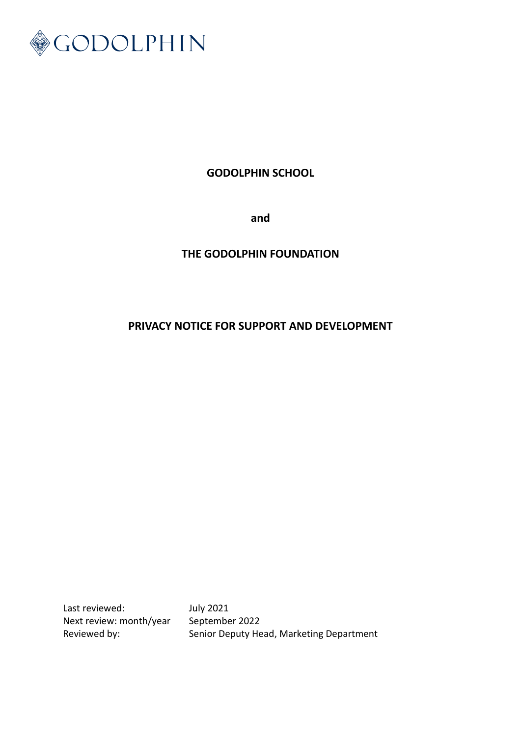

**GODOLPHIN SCHOOL**

**and**

# **THE GODOLPHIN FOUNDATION**

# **PRIVACY NOTICE FOR SUPPORT AND DEVELOPMENT**

Last reviewed: July 2021 Next review: month/year September 2022

Reviewed by: Senior Deputy Head, Marketing Department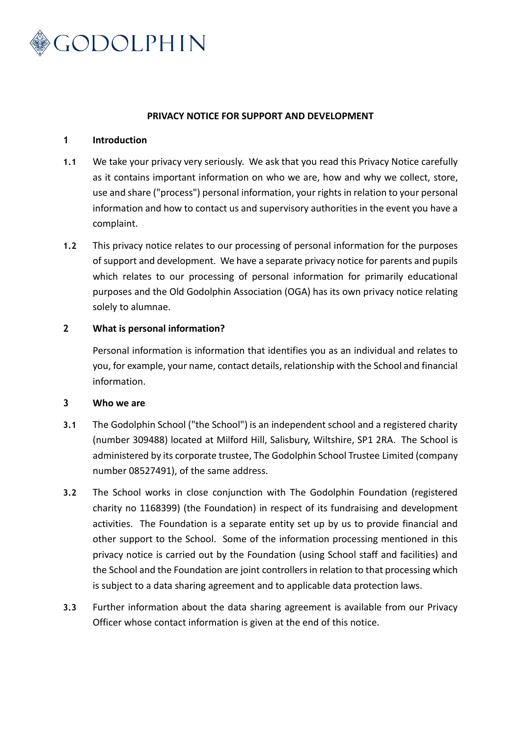

#### **PRIVACY NOTICE FOR SUPPORT AND DEVELOPMENT**

#### **1 Introduction**

- **1.1** We take your privacy very seriously. We ask that you read this Privacy Notice carefully as it contains important information on who we are, how and why we collect, store, use and share ("process") personal information, your rights in relation to your personal information and how to contact us and supervisory authorities in the event you have a complaint.
- **1.2** This privacy notice relates to our processing of personal information for the purposes of support and development. We have a separate privacy notice for parents and pupils which relates to our processing of personal information for primarily educational purposes and the Old Godolphin Association (OGA) has its own privacy notice relating solely to alumnae.

# **2 What is personal information?**

Personal information is information that identifies you as an individual and relates to you, for example, your name, contact details, relationship with the School and financial information.

# **3 Who we are**

- **3.1** The Godolphin School ("the School") is an independent school and a registered charity (number 309488) located at Milford Hill, Salisbury, Wiltshire, SP1 2RA. The School is administered by its corporate trustee, The Godolphin School Trustee Limited (company number 08527491), of the same address.
- **3.2** The School works in close conjunction with The Godolphin Foundation (registered charity no 1168399) (the Foundation) in respect of its fundraising and development activities. The Foundation is a separate entity set up by us to provide financial and other support to the School. Some of the information processing mentioned in this privacy notice is carried out by the Foundation (using School staff and facilities) and the School and the Foundation are joint controllers in relation to that processing which is subject to a data sharing agreement and to applicable data protection laws.
- **3.3** Further information about the data sharing agreement is available from our Privacy Officer whose contact information is given at the end of this notice.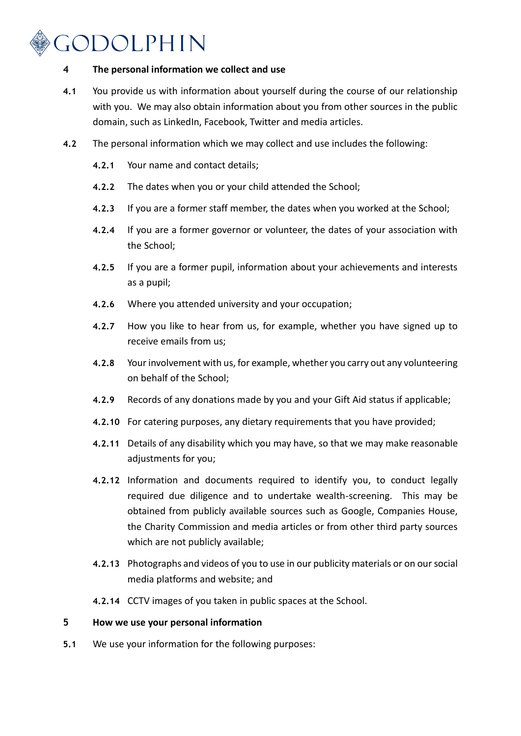# GODOLPHIN

#### **4 The personal information we collect and use**

- **4.1** You provide us with information about yourself during the course of our relationship with you. We may also obtain information about you from other sources in the public domain, such as LinkedIn, Facebook, Twitter and media articles.
- **4.2** The personal information which we may collect and use includes the following:
	- **4.2.1** Your name and contact details;
	- **4.2.2** The dates when you or your child attended the School;
	- **4.2.3** If you are a former staff member, the dates when you worked at the School;
	- **4.2.4** If you are a former governor or volunteer, the dates of your association with the School;
	- **4.2.5** If you are a former pupil, information about your achievements and interests as a pupil;
	- **4.2.6** Where you attended university and your occupation;
	- **4.2.7** How you like to hear from us, for example, whether you have signed up to receive emails from us;
	- **4.2.8** Your involvement with us, for example, whether you carry out any volunteering on behalf of the School;
	- **4.2.9** Records of any donations made by you and your Gift Aid status if applicable;
	- **4.2.10** For catering purposes, any dietary requirements that you have provided;
	- **4.2.11** Details of any disability which you may have, so that we may make reasonable adjustments for you;
	- **4.2.12** Information and documents required to identify you, to conduct legally required due diligence and to undertake wealth-screening. This may be obtained from publicly available sources such as Google, Companies House, the Charity Commission and media articles or from other third party sources which are not publicly available:
	- **4.2.13** Photographs and videos of you to use in our publicity materials or on our social media platforms and website; and
	- **4.2.14** CCTV images of you taken in public spaces at the School.

# **5 How we use your personal information**

**5.1** We use your information for the following purposes: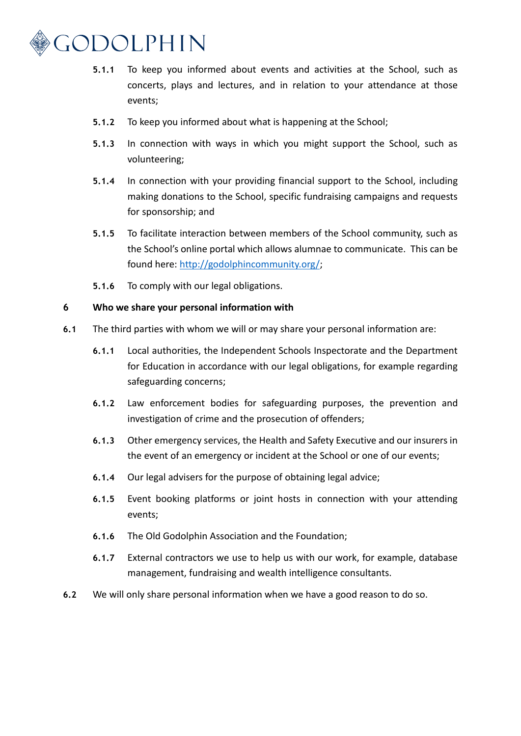

- **5.1.1** To keep you informed about events and activities at the School, such as concerts, plays and lectures, and in relation to your attendance at those events;
- **5.1.2** To keep you informed about what is happening at the School;
- **5.1.3** In connection with ways in which you might support the School, such as volunteering;
- **5.1.4** In connection with your providing financial support to the School, including making donations to the School, specific fundraising campaigns and requests for sponsorship; and
- **5.1.5** To facilitate interaction between members of the School community, such as the School's online portal which allows alumnae to communicate. This can be found here: [http://godolphincommunity.org/;](http://godolphincommunity.org/)
- **5.1.6** To comply with our legal obligations.

# **6 Who we share your personal information with**

- **6.1** The third parties with whom we will or may share your personal information are:
	- **6.1.1** Local authorities, the Independent Schools Inspectorate and the Department for Education in accordance with our legal obligations, for example regarding safeguarding concerns;
	- **6.1.2** Law enforcement bodies for safeguarding purposes, the prevention and investigation of crime and the prosecution of offenders;
	- **6.1.3** Other emergency services, the Health and Safety Executive and our insurers in the event of an emergency or incident at the School or one of our events;
	- **6.1.4** Our legal advisers for the purpose of obtaining legal advice;
	- **6.1.5** Event booking platforms or joint hosts in connection with your attending events;
	- **6.1.6** The Old Godolphin Association and the Foundation;
	- **6.1.7** External contractors we use to help us with our work, for example, database management, fundraising and wealth intelligence consultants.
- **6.2** We will only share personal information when we have a good reason to do so.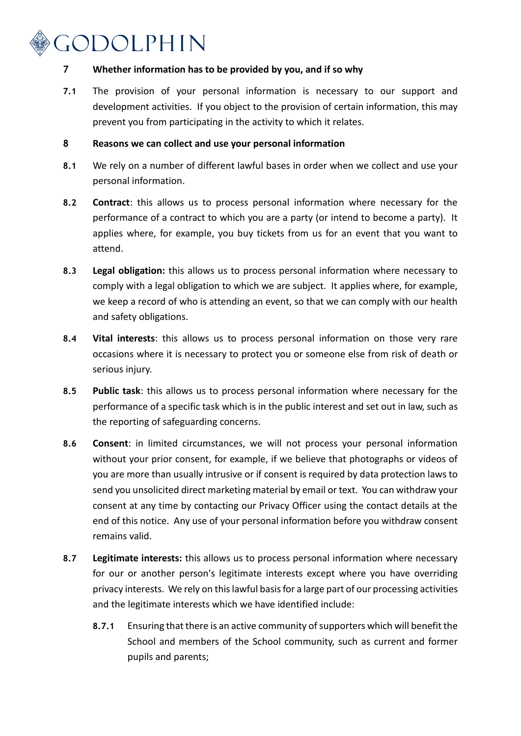# GODOLPHIN

# **7 Whether information has to be provided by you, and if so why**

**7.1** The provision of your personal information is necessary to our support and development activities. If you object to the provision of certain information, this may prevent you from participating in the activity to which it relates.

# **8 Reasons we can collect and use your personal information**

- **8.1** We rely on a number of different lawful bases in order when we collect and use your personal information.
- **8.2 Contract**: this allows us to process personal information where necessary for the performance of a contract to which you are a party (or intend to become a party). It applies where, for example, you buy tickets from us for an event that you want to attend.
- **8.3 Legal obligation:** this allows us to process personal information where necessary to comply with a legal obligation to which we are subject. It applies where, for example, we keep a record of who is attending an event, so that we can comply with our health and safety obligations.
- **8.4 Vital interests**: this allows us to process personal information on those very rare occasions where it is necessary to protect you or someone else from risk of death or serious injury.
- **8.5 Public task**: this allows us to process personal information where necessary for the performance of a specific task which is in the public interest and set out in law, such as the reporting of safeguarding concerns.
- **8.6 Consent**: in limited circumstances, we will not process your personal information without your prior consent, for example, if we believe that photographs or videos of you are more than usually intrusive or if consent is required by data protection laws to send you unsolicited direct marketing material by email or text. You can withdraw your consent at any time by contacting our Privacy Officer using the contact details at the end of this notice. Any use of your personal information before you withdraw consent remains valid.
- **8.7 Legitimate interests:** this allows us to process personal information where necessary for our or another person's legitimate interests except where you have overriding privacy interests. We rely on this lawful basis for a large part of our processing activities and the legitimate interests which we have identified include:
	- **8.7.1** Ensuring that there is an active community of supporters which will benefit the School and members of the School community, such as current and former pupils and parents;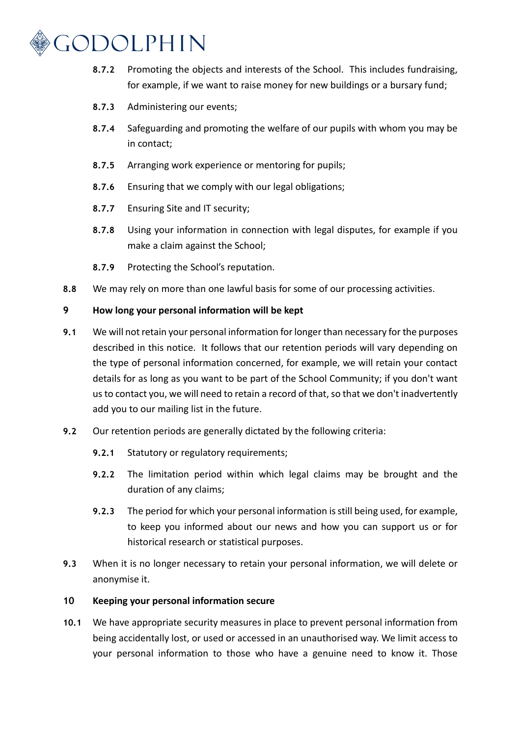

- **8.7.2** Promoting the objects and interests of the School. This includes fundraising, for example, if we want to raise money for new buildings or a bursary fund;
- **8.7.3** Administering our events;
- **8.7.4** Safeguarding and promoting the welfare of our pupils with whom you may be in contact;
- **8.7.5** Arranging work experience or mentoring for pupils;
- **8.7.6** Ensuring that we comply with our legal obligations;
- **8.7.7** Ensuring Site and IT security;
- **8.7.8** Using your information in connection with legal disputes, for example if you make a claim against the School;
- **8.7.9** Protecting the School's reputation.
- **8.8** We may rely on more than one lawful basis for some of our processing activities.

# **9 How long your personal information will be kept**

- **9.1** We will not retain your personal information for longer than necessary for the purposes described in this notice. It follows that our retention periods will vary depending on the type of personal information concerned, for example, we will retain your contact details for as long as you want to be part of the School Community; if you don't want us to contact you, we will need to retain a record of that, so that we don't inadvertently add you to our mailing list in the future.
- **9.2** Our retention periods are generally dictated by the following criteria:
	- **9.2.1** Statutory or regulatory requirements;
	- **9.2.2** The limitation period within which legal claims may be brought and the duration of any claims;
	- **9.2.3** The period for which your personal information is still being used, for example, to keep you informed about our news and how you can support us or for historical research or statistical purposes.
- **9.3** When it is no longer necessary to retain your personal information, we will delete or anonymise it.

# **10 Keeping your personal information secure**

**10.1** We have appropriate security measures in place to prevent personal information from being accidentally lost, or used or accessed in an unauthorised way. We limit access to your personal information to those who have a genuine need to know it. Those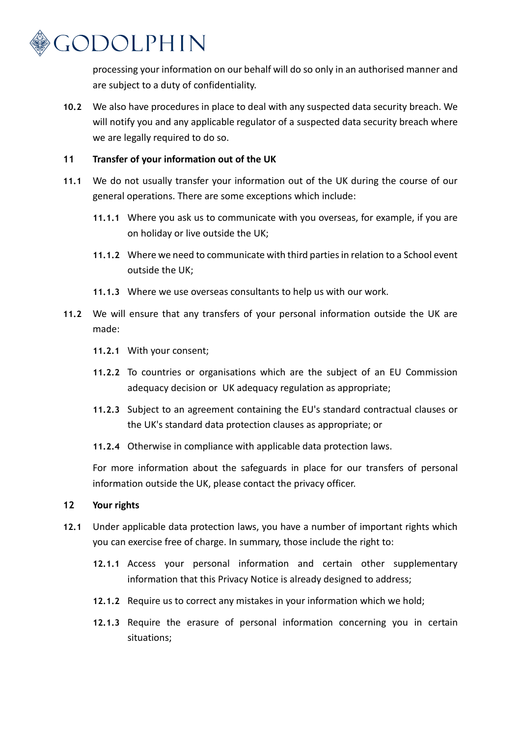

processing your information on our behalf will do so only in an authorised manner and are subject to a duty of confidentiality.

**10.2** We also have procedures in place to deal with any suspected data security breach. We will notify you and any applicable regulator of a suspected data security breach where we are legally required to do so.

# **11 Transfer of your information out of the UK**

- **11.1** We do not usually transfer your information out of the UK during the course of our general operations. There are some exceptions which include:
	- **11.1.1** Where you ask us to communicate with you overseas, for example, if you are on holiday or live outside the UK;
	- **11.1.2** Where we need to communicate with third parties in relation to a School event outside the UK;
	- **11.1.3** Where we use overseas consultants to help us with our work.
- **11.2** We will ensure that any transfers of your personal information outside the UK are made:
	- **11.2.1** With your consent;
	- **11.2.2** To countries or organisations which are the subject of an EU Commission adequacy decision or UK adequacy regulation as appropriate;
	- **11.2.3** Subject to an agreement containing the EU's standard contractual clauses or the UK's standard data protection clauses as appropriate; or
	- **11.2.4** Otherwise in compliance with applicable data protection laws.

For more information about the safeguards in place for our transfers of personal information outside the UK, please contact the privacy officer.

# **12 Your rights**

- **12.1** Under applicable data protection laws, you have a number of important rights which you can exercise free of charge. In summary, those include the right to:
	- **12.1.1** Access your personal information and certain other supplementary information that this Privacy Notice is already designed to address;
	- **12.1.2** Require us to correct any mistakes in your information which we hold;
	- **12.1.3** Require the erasure of personal information concerning you in certain situations;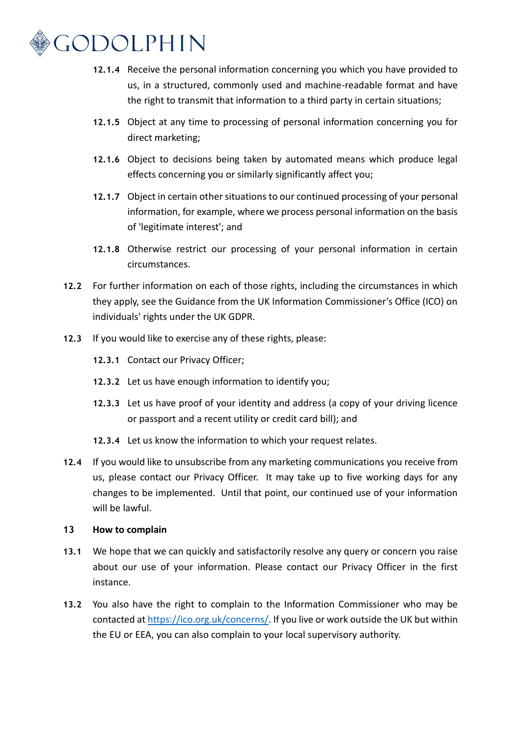

- **12.1.4** Receive the personal information concerning you which you have provided to us, in a structured, commonly used and machine-readable format and have the right to transmit that information to a third party in certain situations;
- **12.1.5** Object at any time to processing of personal information concerning you for direct marketing;
- **12.1.6** Object to decisions being taken by automated means which produce legal effects concerning you or similarly significantly affect you;
- **12.1.7** Object in certain other situations to our continued processing of your personal information, for example, where we process personal information on the basis of 'legitimate interest'; and
- **12.1.8** Otherwise restrict our processing of your personal information in certain circumstances.
- **12.2** For further information on each of those rights, including the circumstances in which they apply, see the Guidance from the UK Information Commissioner's Office (ICO) on individuals' rights under the UK GDPR.
- **12.3** If you would like to exercise any of these rights, please:
	- **12.3.1** Contact our Privacy Officer;
	- **12.3.2** Let us have enough information to identify you;
	- **12.3.3** Let us have proof of your identity and address (a copy of your driving licence or passport and a recent utility or credit card bill); and
	- **12.3.4** Let us know the information to which your request relates.
- **12.4** If you would like to unsubscribe from any marketing communications you receive from us, please contact our Privacy Officer. It may take up to five working days for any changes to be implemented. Until that point, our continued use of your information will be lawful.

# **13 How to complain**

- **13.1** We hope that we can quickly and satisfactorily resolve any query or concern you raise about our use of your information. Please contact our Privacy Officer in the first instance.
- **13.2** You also have the right to complain to the Information Commissioner who may be contacted a[t https://ico.org.uk/concerns/.](https://ico.org.uk/concerns/) If you live or work outside the UK but within the EU or EEA, you can also complain to your local supervisory authority.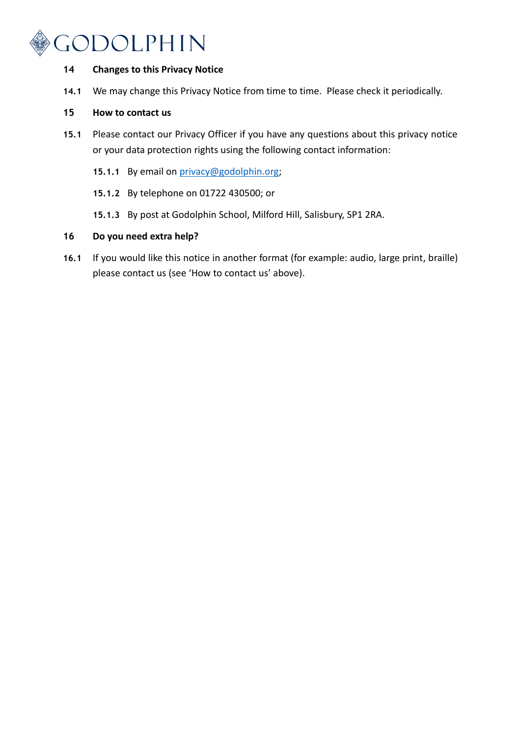

# **14 Changes to this Privacy Notice**

**14.1** We may change this Privacy Notice from time to time. Please check it periodically.

# **15 How to contact us**

- **15.1** Please contact our Privacy Officer if you have any questions about this privacy notice or your data protection rights using the following contact information:
	- 15.1.1 By email on [privacy@godolphin.org;](mailto:privacy@godolphin.org)
	- **15.1.2** By telephone on 01722 430500; or
	- **15.1.3** By post at Godolphin School, Milford Hill, Salisbury, SP1 2RA.

# **16 Do you need extra help?**

**16.1** If you would like this notice in another format (for example: audio, large print, braille) please contact us (see 'How to contact us' above).